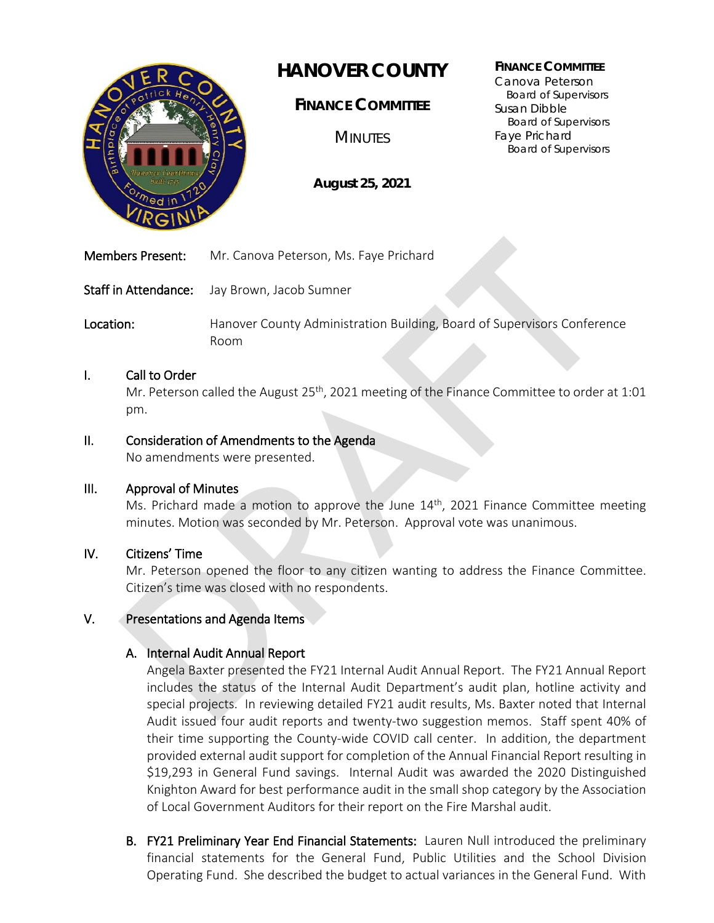

# **HANOVER COUNTY**

**FINANCE COMMITTEE**

**MINUTES** 

**August 25, 2021**

#### **FINANCE COMMITTEE**

Canova Peterson Board of Supervisors Susan Dibble Board of Supervisors Faye Prichard Board of Supervisors

Members Present: Mr. Canova Peterson, Ms. Faye Prichard

Staff in Attendance: Jay Brown, Jacob Sumner

Location: **Hanover County Administration Building, Board of Supervisors Conference** Room

## I. Call to Order

Mr. Peterson called the August  $25<sup>th</sup>$ , 2021 meeting of the Finance Committee to order at 1:01 pm.

## II. Consideration of Amendments to the Agenda

No amendments were presented.

### III. Approval of Minutes

Ms. Prichard made a motion to approve the June  $14<sup>th</sup>$ , 2021 Finance Committee meeting minutes. Motion was seconded by Mr. Peterson. Approval vote was unanimous.

# IV. Citizens' Time

Ì

Mr. Peterson opened the floor to any citizen wanting to address the Finance Committee. Citizen's time was closed with no respondents.

### V. Presentations and Agenda Items

# A. Internal Audit Annual Report

Angela Baxter presented the FY21 Internal Audit Annual Report. The FY21 Annual Report includes the status of the Internal Audit Department's audit plan, hotline activity and special projects. In reviewing detailed FY21 audit results, Ms. Baxter noted that Internal Audit issued four audit reports and twenty-two suggestion memos. Staff spent 40% of their time supporting the County-wide COVID call center. In addition, the department provided external audit support for completion of the Annual Financial Report resulting in \$19,293 in General Fund savings. Internal Audit was awarded the 2020 Distinguished Knighton Award for best performance audit in the small shop category by the Association of Local Government Auditors for their report on the Fire Marshal audit.

B. FY21 Preliminary Year End Financial Statements: Lauren Null introduced the preliminary financial statements for the General Fund, Public Utilities and the School Division Operating Fund. She described the budget to actual variances in the General Fund. With